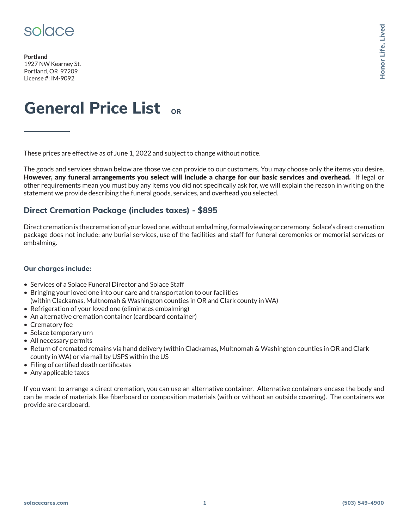

**Portland** 1927 NW Kearney St. Portland, OR 97209 License #: IM-9092

# **General Price List OR**

These prices are effective as of June 1, 2022 and subject to change without notice.

The goods and services shown below are those we can provide to our customers. You may choose only the items you desire. However, any funeral arrangements you select will include a charge for our basic services and overhead. If legal or other requirements mean you must buy any items you did not specifically ask for, we will explain the reason in writing on the statement we provide describing the funeral goods, services, and overhead you selected. **Solace Controller Controller Controller Controller Controller Controller Controller Controller Controller Controller Controller Controller Controller Controller Controller Controller Controller Controller Controller Contr** 

### **Direct Cremation Package (includes taxes) - \$895**

Direct cremation is the cremation of your loved one, without embalming, formal viewing or ceremony. Solace's direct cremation package does not include: any burial services, use of the facilities and staff for funeral ceremonies or memorial services or embalming.

#### **Our charges include:**

- Services of a Solace Funeral Director and Solace Staff
- Bringing your loved one into our care and transportation to our facilities (within Clackamas, Multnomah & Washington counties in OR and Clark county in WA)
- Refrigeration of your loved one (eliminates embalming)
- An alternative cremation container (cardboard container)
- Crematory fee
- Solace temporary urn
- All necessary permits
- Return of cremated remains via hand delivery (within Clackamas, Multnomah & Washington counties in OR and Clark county in WA) or via mail by USPS within the US
- Filing of certified death certificates
- Any applicable taxes

If you want to arrange a direct cremation, you can use an alternative container. Alternative containers encase the body and can be made of materials like fiberboard or composition materials (with or without an outside covering). The containers we provide are cardboard.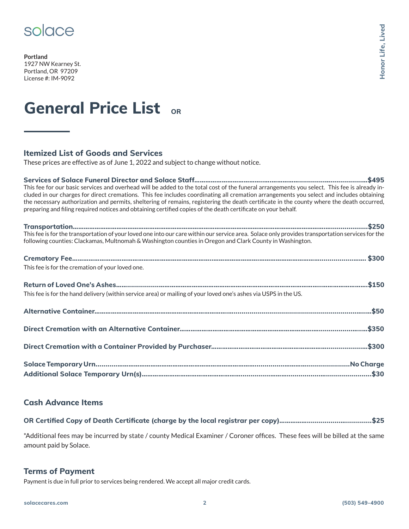

**Portland** 1927 NW Kearney St. Portland, OR 97209 License #: IM-9092

## **General Price List OR**

### **Itemized List of Goods and Services**

These prices are effective as of June 1, 2022 and subject to change without notice.

**Services of Solace Funeral Director and Solace Staff………………………………..….…………….............…................…\$495** This fee for our basic services and overhead will be added to the total cost of the funeral arrangements you select. This fee is already included in our charges for direct cremations. This fee includes coordinating all cremation arrangements you select and includes obtaining the necessary authorization and permits, sheltering of remains, registering the death certificate in the county where the death occurred, preparing and filing required notices and obtaining certified copies of the death certificate on your behalf.

| following counties: Clackamas, Multnomah & Washington counties in Oregon and Clark County in Washington.         |  |
|------------------------------------------------------------------------------------------------------------------|--|
|                                                                                                                  |  |
| This fee is for the cremation of your loved one.                                                                 |  |
|                                                                                                                  |  |
| This fee is for the hand delivery (within service area) or mailing of your loved one's ashes via USPS in the US. |  |
|                                                                                                                  |  |
|                                                                                                                  |  |
|                                                                                                                  |  |
|                                                                                                                  |  |
|                                                                                                                  |  |

### **Cash Advance Items**

\*Additional fees may be incurred by state / county Medical Examiner / Coroner offices. These fees will be billed at the same amount paid by Solace.

#### **Terms of Payment**

Payment is due in full prior to services being rendered. We accept all major credit cards.